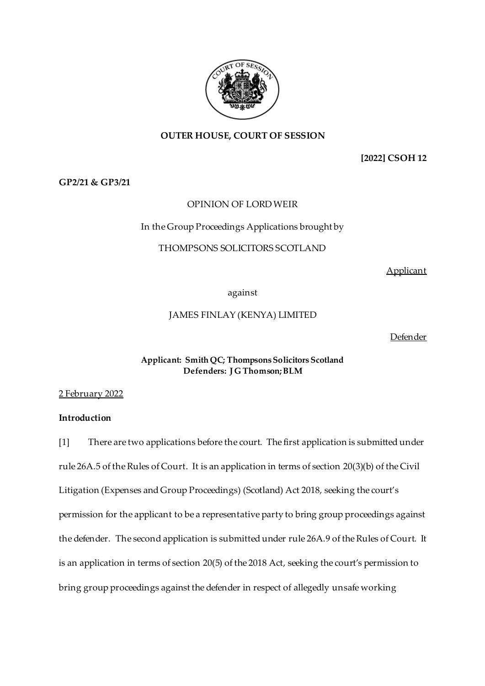

## **OUTER HOUSE, COURT OF SESSION**

# **[2022] CSOH 12**

**GP2/21 & GP3/21**

## OPINION OF LORD WEIR

## In the Group Proceedings Applications brought by

## THOMPSONS SOLICITORS SCOTLAND

Applicant

against

## JAMES FINLAY (KENYA) LIMITED

Defender

### **Applicant: Smith QC; Thompsons Solicitors Scotland Defenders: J G Thomson; BLM**

### 2 February 2022

## **Introduction**

[1] There are two applications before the court. The first application is submitted under rule 26A.5 of the Rules of Court. It is an application in terms of section 20(3)(b) of the Civil Litigation (Expenses and Group Proceedings) (Scotland) Act 2018, seeking the court's permission for the applicant to be a representative party to bring group proceedings against the defender. The second application is submitted under rule 26A.9 of the Rules of Court. It is an application in terms of section 20(5) of the 2018 Act, seeking the court's permission to bring group proceedings against the defender in respect of allegedly unsafe working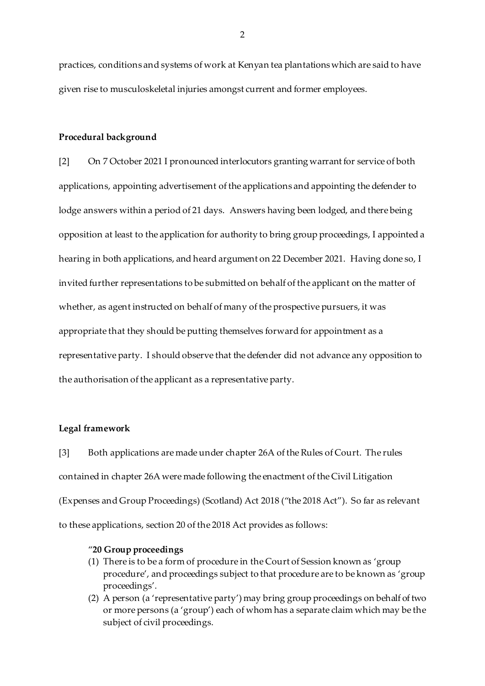practices, conditions and systems of work at Kenyan tea plantations which are said to have given rise to musculoskeletal injuries amongst current and former employees.

#### **Procedural background**

[2] On 7 October 2021 I pronounced interlocutors granting warrant for service of both applications, appointing advertisement of the applications and appointing the defender to lodge answers within a period of 21 days. Answers having been lodged, and there being opposition at least to the application for authority to bring group proceedings, I appointed a hearing in both applications, and heard argument on 22 December 2021. Having done so, I invited further representations to be submitted on behalf of the applicant on the matter of whether, as agent instructed on behalf of many of the prospective pursuers, it was appropriate that they should be putting themselves forward for appointment as a representative party. I should observe that the defender did not advance any opposition to the authorisation of the applicant as a representative party.

#### **Legal framework**

[3] Both applications are made under chapter 26A of the Rules of Court. The rules contained in chapter 26A were made following the enactment of the Civil Litigation (Expenses and Group Proceedings) (Scotland) Act 2018 ("the 2018 Act"). So far as relevant to these applications, section 20 of the 2018 Act provides as follows:

#### "**20 Group proceedings**

- (1) There is to be a form of procedure in the Court of Session known as 'group procedure', and proceedings subject to that procedure are to be known as 'group proceedings'.
- (2) A person (a 'representative party') may bring group proceedings on behalf of two or more persons (a 'group') each of whom has a separate claim which may be the subject of civil proceedings.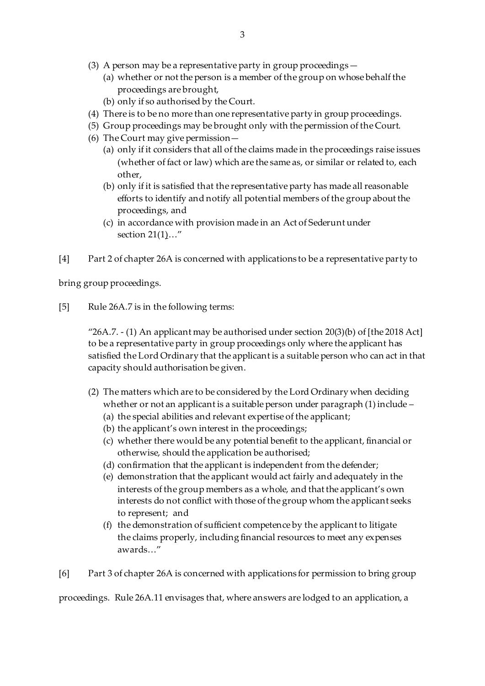- (3) A person may be a representative party in group proceedings—
	- (a) whether or not the person is a member of the group on whose behalf the proceedings are brought,
	- (b) only if so authorised by the Court.
- (4) There is to be no more than one representative party in group proceedings.
- (5) Group proceedings may be brought only with the permission of the Court.
- (6) The Court may give permission—
	- (a) only if it considers that all of the claims made in the proceedings raise issues (whether of fact or law) which are the same as, or similar or related to, each other,
	- (b) only if it is satisfied that the representative party has made all reasonable efforts to identify and notify all potential members of the group about the proceedings, and
	- (c) in accordance with provision made in an Act of Sederunt under section 21(1)…"
- [4] Part 2 of chapter 26A is concerned with applications to be a representative party to

bring group proceedings.

[5] Rule 26A.7 is in the following terms:

"26A.7.  $-$  (1) An applicant may be authorised under section 20(3)(b) of [the 2018 Act] to be a representative party in group proceedings only where the applicant has satisfied the Lord Ordinary that the applicant is a suitable person who can act in that capacity should authorisation be given.

- (2) The matters which are to be considered by the Lord Ordinary when deciding whether or not an applicant is a suitable person under paragraph (1) include –
	- (a) the special abilities and relevant expertise of the applicant;
	- (b) the applicant's own interest in the proceedings;
	- (c) whether there would be any potential benefit to the applicant, financial or otherwise, should the application be authorised;
	- (d) confirmation that the applicant is independent from the defender;
	- (e) demonstration that the applicant would act fairly and adequately in the interests of the group members as a whole, and that the applicant's own interests do not conflict with those of the group whom the applicant seeks to represent; and
	- (f) the demonstration of sufficient competence by the applicant to litigate the claims properly, including financial resources to meet any expenses awards…"

[6] Part 3 of chapter 26A is concerned with applications for permission to bring group

proceedings. Rule 26A.11 envisages that, where answers are lodged to an application, a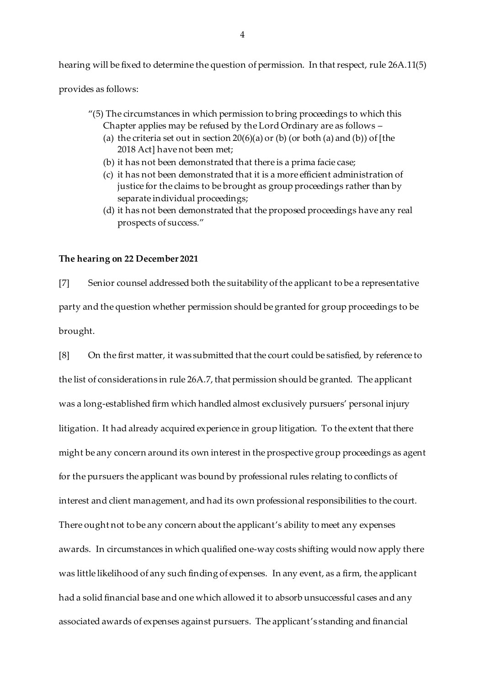hearing will be fixed to determine the question of permission. In that respect, rule 26A.11(5)

provides as follows:

- "(5) The circumstances in which permission to bring proceedings to which this Chapter applies may be refused by the Lord Ordinary are as follows –
	- (a) the criteria set out in section  $20(6)(a)$  or (b) (or both (a) and (b)) of [the 2018 Act] have not been met;
	- (b) it has not been demonstrated that there is a prima facie case;
	- (c) it has not been demonstrated that it is a more efficient administration of justice for the claims to be brought as group proceedings rather than by separate individual proceedings;
	- (d) it has not been demonstrated that the proposed proceedings have any real prospects of success."

#### **The hearing on 22 December 2021**

[7] Senior counsel addressed both the suitability of the applicant to be a representative party and the question whether permission should be granted for group proceedings to be brought.

[8] On the first matter, it was submitted that the court could be satisfied, by reference to the list of considerations in rule 26A.7, that permission should be granted. The applicant was a long-established firm which handled almost exclusively pursuers' personal injury litigation. It had already acquired experience in group litigation. To the extent that there might be any concern around its own interest in the prospective group proceedings as agent for the pursuers the applicant was bound by professional rules relating to conflicts of interest and client management, and had its own professional responsibilities to the court. There ought not to be any concern about the applicant's ability to meet any expenses awards. In circumstances in which qualified one-way costs shifting would now apply there was little likelihood of any such finding of expenses. In any event, as a firm, the applicant had a solid financial base and one which allowed it to absorb unsuccessful cases and any associated awards of expenses against pursuers. The applicant's standing and financial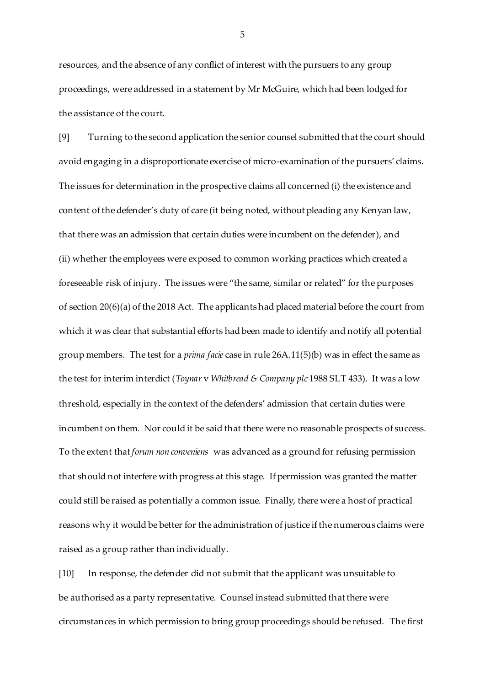resources, and the absence of any conflict of interest with the pursuers to any group proceedings, were addressed in a statement by Mr McGuire, which had been lodged for the assistance of the court.

[9] Turning to the second application the senior counsel submitted that the court should avoid engaging in a disproportionate exercise of micro-examination of the pursuers' claims. The issues for determination in the prospective claims all concerned (i) the existence and content of the defender's duty of care (it being noted, without pleading any Kenyan law, that there was an admission that certain duties were incumbent on the defender), and (ii) whether the employees were exposed to common working practices which created a foreseeable risk of injury. The issues were "the same, similar or related" for the purposes of section 20(6)(a) of the 2018 Act. The applicants had placed material before the court from which it was clear that substantial efforts had been made to identify and notify all potential group members. The test for a *prima facie* case in rule 26A.11(5)(b) was in effect the same as the test for interim interdict (*Toynar* v *Whitbread & Company plc* 1988 SLT 433). It was a low threshold, especially in the context of the defenders' admission that certain duties were incumbent on them. Nor could it be said that there were no reasonable prospects of success. To the extent that *forum non conveniens* was advanced as a ground for refusing permission that should not interfere with progress at this stage. If permission was granted the matter could still be raised as potentially a common issue. Finally, there were a host of practical reasons why it would be better for the administration of justice if the numerous claims were raised as a group rather than individually.

[10] In response, the defender did not submit that the applicant was unsuitable to be authorised as a party representative. Counsel instead submitted that there were circumstances in which permission to bring group proceedings should be refused. The first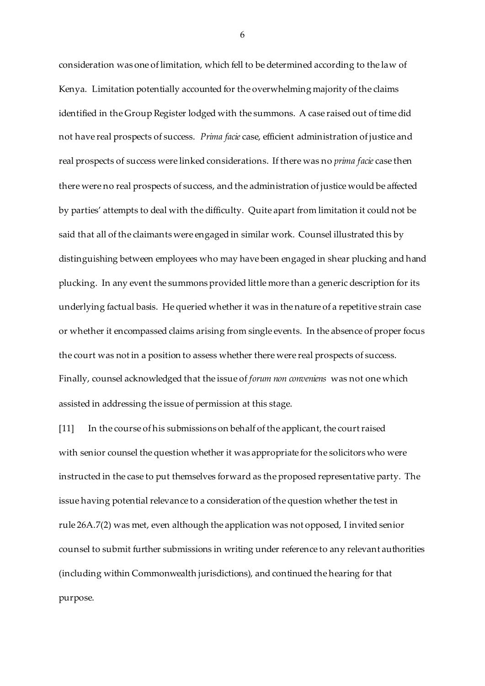consideration was one of limitation, which fell to be determined according to the law of Kenya. Limitation potentially accounted for the overwhelming majority of the claims identified in the Group Register lodged with the summons. A case raised out of time did not have real prospects of success. *Prima facie* case, efficient administration of justice and real prospects of success were linked considerations. If there was no *prima facie* case then there were no real prospects of success, and the administration of justice would be affected by parties' attempts to deal with the difficulty. Quite apart from limitation it could not be said that all of the claimants were engaged in similar work. Counsel illustrated this by distinguishing between employees who may have been engaged in shear plucking and hand plucking. In any event the summons provided little more than a generic description for its underlying factual basis. He queried whether it was in the nature of a repetitive strain case or whether it encompassed claims arising from single events. In the absence of proper focus the court was not in a position to assess whether there were real prospects of success. Finally, counsel acknowledged that the issue of *forum non conveniens* was not one which assisted in addressing the issue of permission at this stage.

[11] In the course of his submissions on behalf of the applicant, the court raised with senior counsel the question whether it was appropriate for the solicitors who were instructed in the case to put themselves forward as the proposed representative party. The issue having potential relevance to a consideration of the question whether the test in rule 26A.7(2) was met, even although the application was not opposed, I invited senior counsel to submit further submissions in writing under reference to any relevant authorities (including within Commonwealth jurisdictions), and continued the hearing for that purpose.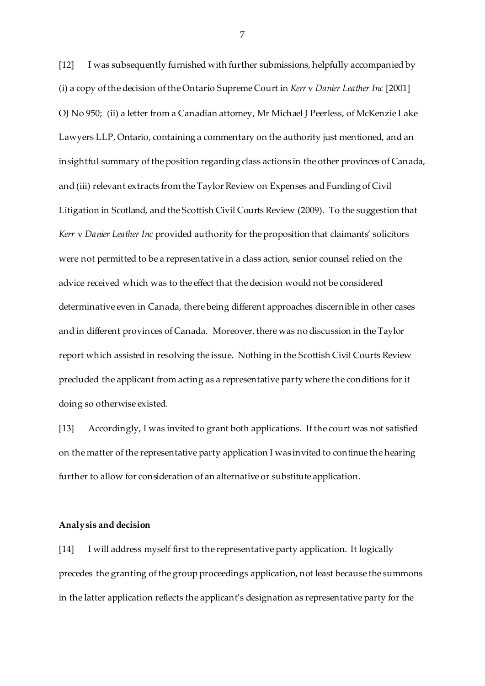[12] I was subsequently furnished with further submissions, helpfully accompanied by (i) a copy of the decision of the Ontario Supreme Court in *Kerr* v *Danier Leather Inc* [2001] OJ No 950; (ii) a letter from a Canadian attorney, Mr Michael J Peerless, of McKenzie Lake Lawyers LLP, Ontario, containing a commentary on the authority just mentioned, and an insightful summary of the position regarding class actions in the other provinces of Canada, and (iii) relevant extracts from the Taylor Review on Expenses and Funding of Civil Litigation in Scotland, and the Scottish Civil Courts Review (2009). To the suggestion that *Kerr* v *Danier Leather Inc* provided authority for the proposition that claimants' solicitors were not permitted to be a representative in a class action, senior counsel relied on the advice received which was to the effect that the decision would not be considered determinative even in Canada, there being different approaches discernible in other cases and in different provinces of Canada. Moreover, there was no discussion in the Taylor report which assisted in resolving the issue. Nothing in the Scottish Civil Courts Review precluded the applicant from acting as a representative party where the conditions for it doing so otherwise existed.

[13] Accordingly, I was invited to grant both applications. If the court was not satisfied on the matter of the representative party application I was invited to continue the hearing further to allow for consideration of an alternative or substitute application.

#### **Analysis and decision**

[14] I will address myself first to the representative party application. It logically precedes the granting of the group proceedings application, not least because the summons in the latter application reflects the applicant's designation as representative party for the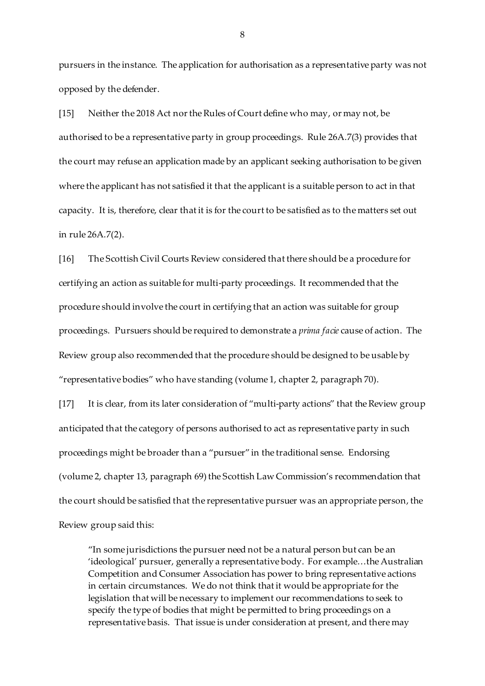pursuers in the instance. The application for authorisation as a representative party was not opposed by the defender.

[15] Neither the 2018 Act nor the Rules of Court define who may, or may not, be authorised to be a representative party in group proceedings. Rule 26A.7(3) provides that the court may refuse an application made by an applicant seeking authorisation to be given where the applicant has not satisfied it that the applicant is a suitable person to act in that capacity. It is, therefore, clear that it is for the court to be satisfied as to the matters set out in rule 26A.7(2).

[16] The Scottish Civil Courts Review considered that there should be a procedure for certifying an action as suitable for multi-party proceedings. It recommended that the procedure should involve the court in certifying that an action was suitable for group proceedings. Pursuers should be required to demonstrate a *prima facie* cause of action. The Review group also recommended that the procedure should be designed to be usable by "representative bodies" who have standing (volume 1, chapter 2, paragraph 70).

[17] It is clear, from its later consideration of "multi-party actions" that the Review group anticipated that the category of persons authorised to act as representative party in such proceedings might be broader than a "pursuer" in the traditional sense. Endorsing (volume 2, chapter 13, paragraph 69) the Scottish Law Commission's recommendation that the court should be satisfied that the representative pursuer was an appropriate person, the Review group said this:

"In some jurisdictions the pursuer need not be a natural person but can be an 'ideological' pursuer, generally a representative body. For example…the Australian Competition and Consumer Association has power to bring representative actions in certain circumstances. We do not think that it would be appropriate for the legislation that will be necessary to implement our recommendations to seek to specify the type of bodies that might be permitted to bring proceedings on a representative basis. That issue is under consideration at present, and there may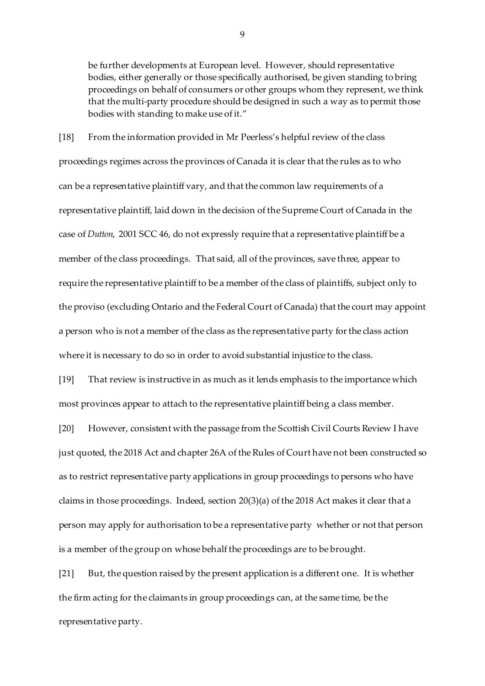be further developments at European level. However, should representative bodies, either generally or those specifically authorised, be given standing to bring proceedings on behalf of consumers or other groups whom they represent, we think that the multi-party procedure should be designed in such a way as to permit those bodies with standing to make use of it."

[18] From the information provided in Mr Peerless's helpful review of the class proceedings regimes across the provinces of Canada it is clear that the rules as to who can be a representative plaintiff vary, and that the common law requirements of a representative plaintiff, laid down in the decision of the Supreme Court of Canada in the case of *Dutton*, 2001 SCC 46, do not expressly require that a representative plaintiff be a member of the class proceedings. That said, all of the provinces, save three, appear to require the representative plaintiff to be a member of the class of plaintiffs, subject only to the proviso (excluding Ontario and the Federal Court of Canada) that the court may appoint a person who is not a member of the class as the representative party for the class action where it is necessary to do so in order to avoid substantial injustice to the class.

[19] That review is instructive in as much as it lends emphasis to the importance which most provinces appear to attach to the representative plaintiff being a class member.

[20] However, consistent with the passage from the Scottish Civil Courts Review I have just quoted, the 2018 Act and chapter 26A of the Rules of Court have not been constructed so as to restrict representative party applications in group proceedings to persons who have claims in those proceedings. Indeed, section 20(3)(a) of the 2018 Act makes it clear that a person may apply for authorisation to be a representative party whether or not that person is a member of the group on whose behalf the proceedings are to be brought.

[21] But, the question raised by the present application is a different one. It is whether the firm acting for the claimants in group proceedings can, at the same time, be the representative party.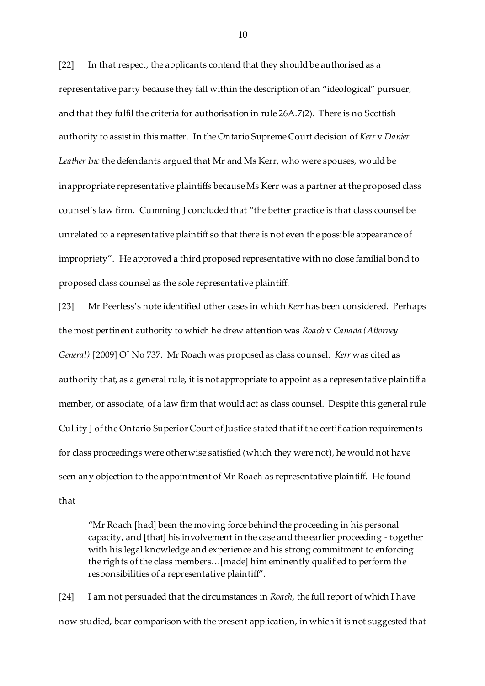[22] In that respect, the applicants contend that they should be authorised as a representative party because they fall within the description of an "ideological" pursuer, and that they fulfil the criteria for authorisation in rule 26A.7(2). There is no Scottish authority to assist in this matter. In the Ontario Supreme Court decision of *Kerr* v *Danier Leather Inc* the defendants argued that Mr and Ms Kerr, who were spouses, would be inappropriate representative plaintiffs because Ms Kerr was a partner at the proposed class counsel's law firm. Cumming J concluded that "the better practice is that class counsel be unrelated to a representative plaintiff so that there is not even the possible appearance of impropriety". He approved a third proposed representative with no close familial bond to proposed class counsel as the sole representative plaintiff.

[23] Mr Peerless's note identified other cases in which *Kerr* has been considered. Perhaps the most pertinent authority to which he drew attention was *Roach* v *Canada (Attorney General)* [2009] OJ No 737. Mr Roach was proposed as class counsel. *Kerr* was cited as authority that, as a general rule, it is not appropriate to appoint as a representative plaintiff a member, or associate, of a law firm that would act as class counsel. Despite this general rule Cullity J of the Ontario Superior Court of Justice stated that if the certification requirements for class proceedings were otherwise satisfied (which they were not), he would not have seen any objection to the appointment of Mr Roach as representative plaintiff. He found that

"Mr Roach [had] been the moving force behind the proceeding in his personal capacity, and [that] his involvement in the case and the earlier proceeding - together with his legal knowledge and experience and his strong commitment to enforcing the rights of the class members…[made] him eminently qualified to perform the responsibilities of a representative plaintiff".

[24] I am not persuaded that the circumstances in *Roach*, the full report of which I have now studied, bear comparison with the present application, in which it is not suggested that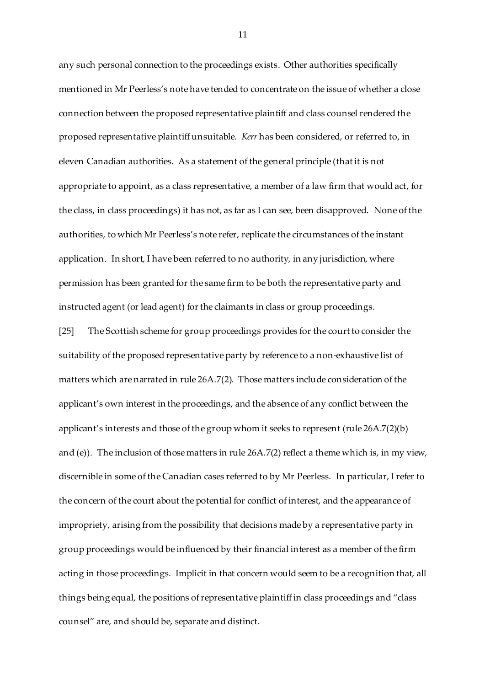any such personal connection to the proceedings exists. Other authorities specifically mentioned in Mr Peerless's note have tended to concentrate on the issue of whether a close connection between the proposed representative plaintiff and class counsel rendered the proposed representative plaintiff unsuitable. *Kerr* has been considered, or referred to, in eleven Canadian authorities. As a statement of the general principle (that it is not appropriate to appoint, as a class representative, a member of a law firm that would act, for the class, in class proceedings) it has not, as far as I can see, been disapproved. None of the authorities, to which Mr Peerless's note refer, replicate the circumstances of the instant application. In short, I have been referred to no authority, in any jurisdiction, where permission has been granted for the same firm to be both the representative party and instructed agent (or lead agent) for the claimants in class or group proceedings.

[25] The Scottish scheme for group proceedings provides for the court to consider the suitability of the proposed representative party by reference to a non-exhaustive list of matters which are narrated in rule 26A.7(2). Those matters include consideration of the applicant's own interest in the proceedings, and the absence of any conflict between the applicant's interests and those of the group whom it seeks to represent (rule 26A.7(2)(b) and (e)). The inclusion of those matters in rule  $26A.7(2)$  reflect a theme which is, in my view, discernible in some of the Canadian cases referred to by Mr Peerless. In particular, I refer to the concern of the court about the potential for conflict of interest, and the appearance of impropriety, arising from the possibility that decisions made by a representative party in group proceedings would be influenced by their financial interest as a member of the firm acting in those proceedings. Implicit in that concern would seem to be a recognition that, all things being equal, the positions of representative plaintiff in class proceedings and "class counsel" are, and should be, separate and distinct.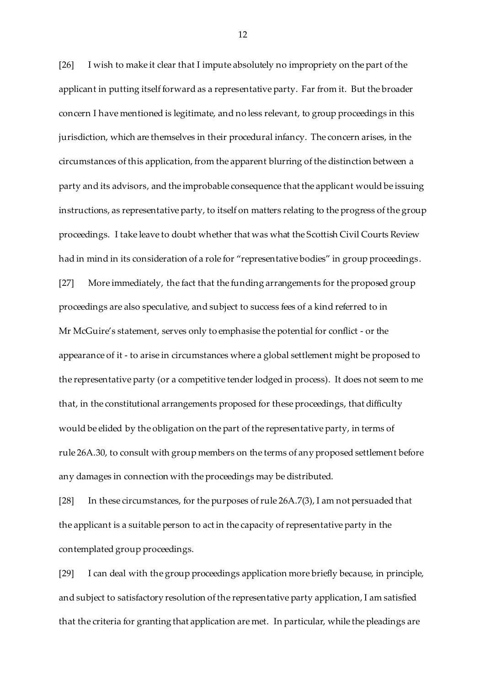[26] I wish to make it clear that I impute absolutely no impropriety on the part of the applicant in putting itself forward as a representative party. Far from it. But the broader concern I have mentioned is legitimate, and no less relevant, to group proceedings in this jurisdiction, which are themselves in their procedural infancy. The concern arises, in the circumstances of this application, from the apparent blurring of the distinction between a party and its advisors, and the improbable consequence that the applicant would be issuing instructions, as representative party, to itself on matters relating to the progress of the group proceedings. I take leave to doubt whether that was what the Scottish Civil Courts Review had in mind in its consideration of a role for "representative bodies" in group proceedings. [27] More immediately, the fact that the funding arrangements for the proposed group proceedings are also speculative, and subject to success fees of a kind referred to in Mr McGuire's statement, serves only to emphasise the potential for conflict - or the appearance of it - to arise in circumstances where a global settlement might be proposed to the representative party (or a competitive tender lodged in process). It does not seem to me that, in the constitutional arrangements proposed for these proceedings, that difficulty would be elided by the obligation on the part of the representative party, in terms of rule 26A.30, to consult with group members on the terms of any proposed settlement before any damages in connection with the proceedings may be distributed.

[28] In these circumstances, for the purposes of rule 26A.7(3), I am not persuaded that the applicant is a suitable person to act in the capacity of representative party in the contemplated group proceedings.

[29] I can deal with the group proceedings application more briefly because, in principle, and subject to satisfactory resolution of the representative party application, I am satisfied that the criteria for granting that application are met. In particular, while the pleadings are